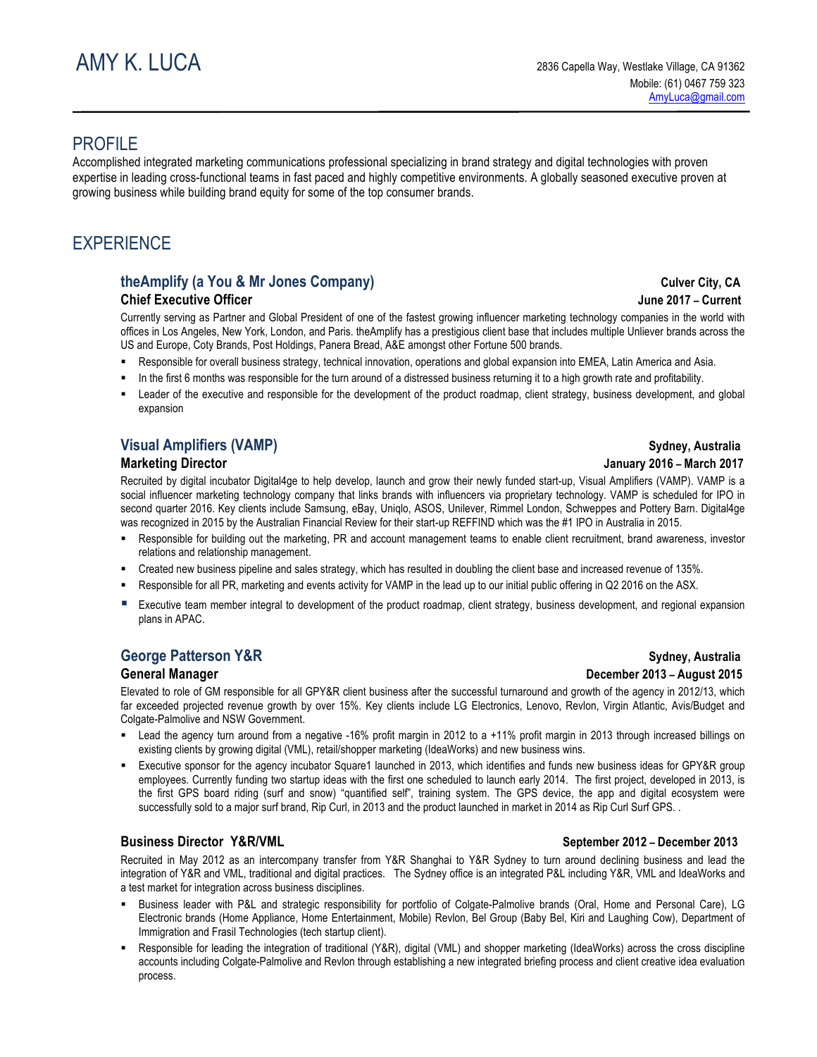# PROFILE

Accomplished integrated marketing communications professional specializing in brand strategy and digital technologies with proven expertise in leading cross-functional teams in fast paced and highly competitive environments. A globally seasoned executive proven at growing business while building brand equity for some of the top consumer brands.

# **EXPERIENCE**

## theAmplify (a You & Mr Jones Company) Culver City, CA **Chief Executive Officer Community Community Community Community Community Community Community Community Community Community Community Community Community Community Community Community Community Community Community Communi**

Currently serving as Partner and Global President of one of the fastest growing influencer marketing technology companies in the world with offices in Los Angeles, New York, London, and Paris. theAmplify has a prestigious client base that includes multiple Unliever brands across the US and Europe, Coty Brands, Post Holdings, Panera Bread, A&E amongst other Fortune 500 brands.

- § Responsible for overall business strategy, technical innovation, operations and global expansion into EMEA, Latin America and Asia.
- In the first 6 months was responsible for the turn around of a distressed business returning it to a high growth rate and profitability.
- Leader of the executive and responsible for the development of the product roadmap, client strategy, business development, and global expansion

# **Visual Amplifiers (VAMP) Sydney, Australia**

Recruited by digital incubator Digital4ge to help develop, launch and grow their newly funded start-up, Visual Amplifiers (VAMP). VAMP is a social influencer marketing technology company that links brands with influencers via proprietary technology. VAMP is scheduled for IPO in second quarter 2016. Key clients include Samsung, eBay, Uniqlo, ASOS, Unilever, Rimmel London, Schweppes and Pottery Barn. Digital4ge was recognized in 2015 by the Australian Financial Review for their start-up REFFIND which was the #1 IPO in Australia in 2015.

- Responsible for building out the marketing, PR and account management teams to enable client recruitment, brand awareness, investor relations and relationship management.
- § Created new business pipeline and sales strategy, which has resulted in doubling the client base and increased revenue of 135%.
- Responsible for all PR, marketing and events activity for VAMP in the lead up to our initial public offering in Q2 2016 on the ASX.
- Executive team member integral to development of the product roadmap, client strategy, business development, and regional expansion plans in APAC.

Elevated to role of GM responsible for all GPY&R client business after the successful turnaround and growth of the agency in 2012/13, which far exceeded projected revenue growth by over 15%. Key clients include LG Electronics, Lenovo, Revlon, Virgin Atlantic, Avis/Budget and Colgate-Palmolive and NSW Government.

- Lead the agency turn around from a negative -16% profit margin in 2012 to a +11% profit margin in 2013 through increased billings on existing clients by growing digital (VML), retail/shopper marketing (IdeaWorks) and new business wins.
- Executive sponsor for the agency incubator Square1 launched in 2013, which identifies and funds new business ideas for GPY&R group employees. Currently funding two startup ideas with the first one scheduled to launch early 2014. The first project, developed in 2013, is the first GPS board riding (surf and snow) "quantified self", training system. The GPS device, the app and digital ecosystem were successfully sold to a major surf brand, Rip Curl, in 2013 and the product launched in market in 2014 as Rip Curl Surf GPS. .

## **Business Director Y&R/VML September 2012 – December 2013**

Recruited in May 2012 as an intercompany transfer from Y&R Shanghai to Y&R Sydney to turn around declining business and lead the integration of Y&R and VML, traditional and digital practices. The Sydney office is an integrated P&L including Y&R, VML and IdeaWorks and a test market for integration across business disciplines.

- § Business leader with P&L and strategic responsibility for portfolio of Colgate-Palmolive brands (Oral, Home and Personal Care), LG Electronic brands (Home Appliance, Home Entertainment, Mobile) Revlon, Bel Group (Baby Bel, Kiri and Laughing Cow), Department of Immigration and Frasil Technologies (tech startup client).
- § Responsible for leading the integration of traditional (Y&R), digital (VML) and shopper marketing (IdeaWorks) across the cross discipline accounts including Colgate-Palmolive and Revlon through establishing a new integrated briefing process and client creative idea evaluation process.

# **Marketing Director January 2016 – March 2017**

# **George Patterson Y&R Sydney, Australia Sydney, Australia Sydney, Australia General Manager December 2013 – August 2015**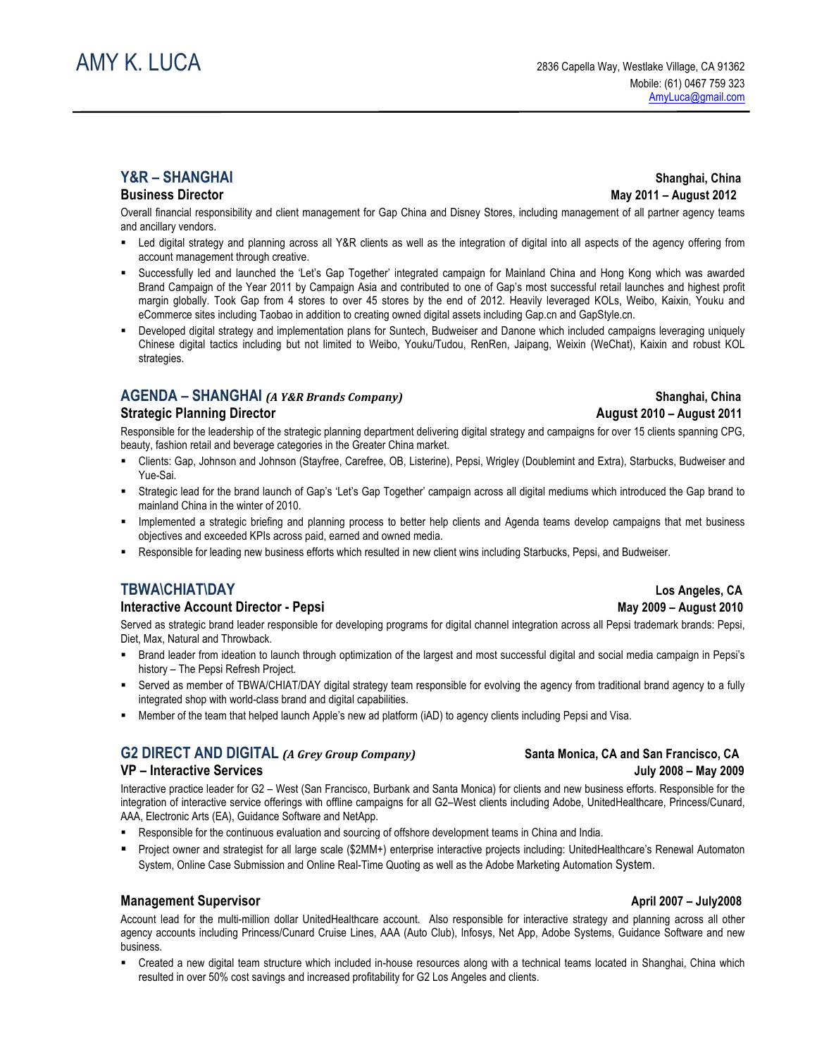## **Business Director May 2011 – August 2012**

Overall financial responsibility and client management for Gap China and Disney Stores, including management of all partner agency teams and ancillary vendors.

- Led digital strategy and planning across all Y&R clients as well as the integration of digital into all aspects of the agency offering from account management through creative.
- § Successfully led and launched the 'Let's Gap Together' integrated campaign for Mainland China and Hong Kong which was awarded Brand Campaign of the Year 2011 by Campaign Asia and contributed to one of Gap's most successful retail launches and highest profit margin globally. Took Gap from 4 stores to over 45 stores by the end of 2012. Heavily leveraged KOLs, Weibo, Kaixin, Youku and eCommerce sites including Taobao in addition to creating owned digital assets including Gap.cn and GapStyle.cn.
- § Developed digital strategy and implementation plans for Suntech, Budweiser and Danone which included campaigns leveraging uniquely Chinese digital tactics including but not limited to Weibo, Youku/Tudou, RenRen, Jaipang, Weixin (WeChat), Kaixin and robust KOL strategies.

## **AGENDA – SHANGHAI** *(A Y&R Brands Company)*  **Shanghai, China**

### **Strategic Planning Director August 2010 – August 2011**

Responsible for the leadership of the strategic planning department delivering digital strategy and campaigns for over 15 clients spanning CPG, beauty, fashion retail and beverage categories in the Greater China market.

- § Clients: Gap, Johnson and Johnson (Stayfree, Carefree, OB, Listerine), Pepsi, Wrigley (Doublemint and Extra), Starbucks, Budweiser and Yue-Sai.
- § Strategic lead for the brand launch of Gap's 'Let's Gap Together' campaign across all digital mediums which introduced the Gap brand to mainland China in the winter of 2010.
- Implemented a strategic briefing and planning process to better help clients and Agenda teams develop campaigns that met business objectives and exceeded KPIs across paid, earned and owned media.
- § Responsible for leading new business efforts which resulted in new client wins including Starbucks, Pepsi, and Budweiser.

# **TBWA\CHIAT\DAY Los Angeles, CA**

### **Interactive Account Director - Pepsi** May 2009 – August 2010

Served as strategic brand leader responsible for developing programs for digital channel integration across all Pepsi trademark brands: Pepsi, Diet, Max, Natural and Throwback.

- § Brand leader from ideation to launch through optimization of the largest and most successful digital and social media campaign in Pepsi's history – The Pepsi Refresh Project.
- Served as member of TBWA/CHIAT/DAY digital strategy team responsible for evolving the agency from traditional brand agency to a fully integrated shop with world-class brand and digital capabilities.
- § Member of the team that helped launch Apple's new ad platform (iAD) to agency clients including Pepsi and Visa.

# G2 DIRECT AND DIGITAL *(A Grey Group Company)* Santa Monica, CA and San Francisco, CA

Interactive practice leader for G2 – West (San Francisco, Burbank and Santa Monica) for clients and new business efforts. Responsible for the integration of interactive service offerings with offline campaigns for all G2–West clients including Adobe, UnitedHealthcare, Princess/Cunard, AAA, Electronic Arts (EA), Guidance Software and NetApp.

- § Responsible for the continuous evaluation and sourcing of offshore development teams in China and India.
- § Project owner and strategist for all large scale (\$2MM+) enterprise interactive projects including: UnitedHealthcare's Renewal Automaton System, Online Case Submission and Online Real-Time Quoting as well as the Adobe Marketing Automation System.

## **Management Supervisor April 2007 – July2008**

Account lead for the multi-million dollar UnitedHealthcare account. Also responsible for interactive strategy and planning across all other agency accounts including Princess/Cunard Cruise Lines, AAA (Auto Club), Infosys, Net App, Adobe Systems, Guidance Software and new business.

§ Created a new digital team structure which included in-house resources along with a technical teams located in Shanghai, China which resulted in over 50% cost savings and increased profitability for G2 Los Angeles and clients.

# **Y&R** – SHANGHAI Shanghai, China

# **VP – Interactive Services July 2008 – May 2009**